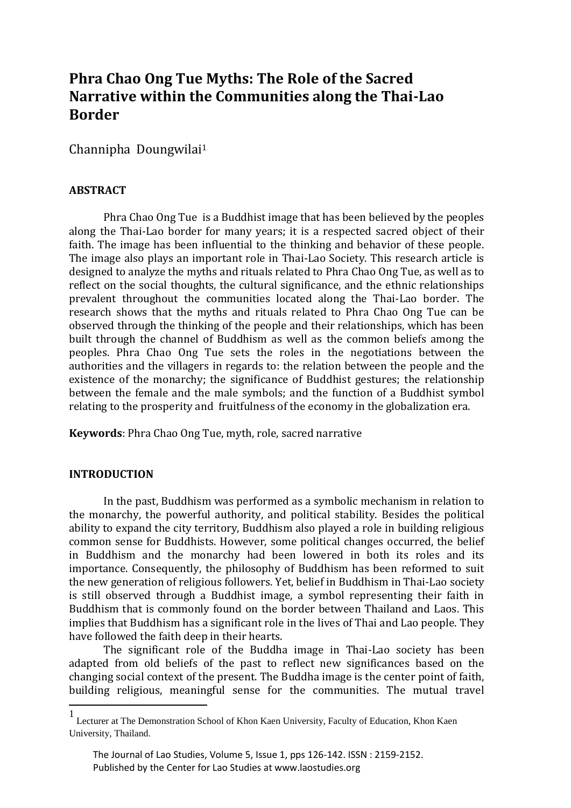# **Phra Chao Ong Tue Myths: The Role of the Sacred Narrative within the Communities along the Thai-Lao Border**

Channipha Doungwilai<sup>1</sup>

# **ABSTRACT**

Phra Chao Ong Tue is a Buddhist image that has been believed by the peoples along the Thai-Lao border for many years; it is a respected sacred object of their faith. The image has been influential to the thinking and behavior of these people. The image also plays an important role in Thai-Lao Society. This research article is designed to analyze the myths and rituals related to Phra Chao Ong Tue, as well as to reflect on the social thoughts, the cultural significance, and the ethnic relationships prevalent throughout the communities located along the Thai-Lao border. The research shows that the myths and rituals related to Phra Chao Ong Tue can be observed through the thinking of the people and their relationships, which has been built through the channel of Buddhism as well as the common beliefs among the peoples. Phra Chao Ong Tue sets the roles in the negotiations between the authorities and the villagers in regards to: the relation between the people and the existence of the monarchy; the significance of Buddhist gestures; the relationship between the female and the male symbols; and the function of a Buddhist symbol relating to the prosperity and fruitfulness of the economy in the globalization era.

**Keywords**: Phra Chao Ong Tue, myth, role, sacred narrative

### **INTRODUCTION**

**.** 

In the past, Buddhism was performed as a symbolic mechanism in relation to the monarchy, the powerful authority, and political stability. Besides the political ability to expand the city territory, Buddhism also played a role in building religious common sense for Buddhists. However, some political changes occurred, the belief in Buddhism and the monarchy had been lowered in both its roles and its importance. Consequently, the philosophy of Buddhism has been reformed to suit the new generation of religious followers. Yet, belief in Buddhism in Thai-Lao society is still observed through a Buddhist image, a symbol representing their faith in Buddhism that is commonly found on the border between Thailand and Laos. This implies that Buddhism has a significant role in the lives of Thai and Lao people. They have followed the faith deep in their hearts.

The significant role of the Buddha image in Thai-Lao society has been adapted from old beliefs of the past to reflect new significances based on the changing social context of the present. The Buddha image is the center point of faith, building religious, meaningful sense for the communities. The mutual travel

<sup>1</sup> Lecturer at The Demonstration School of Khon Kaen University, Faculty of Education, Khon Kaen University, Thailand.

The Journal of Lao Studies, Volume 5, Issue 1, pps 126-142. ISSN : 2159-2152. Published by the Center for Lao Studies at www.laostudies.org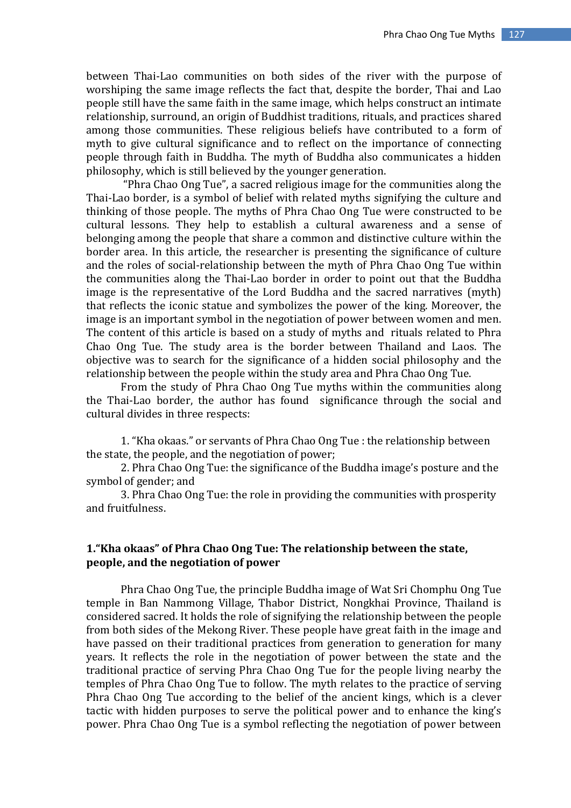between Thai-Lao communities on both sides of the river with the purpose of worshiping the same image reflects the fact that, despite the border, Thai and Lao people still have the same faith in the same image, which helps construct an intimate relationship, surround, an origin of Buddhist traditions, rituals, and practices shared among those communities. These religious beliefs have contributed to a form of myth to give cultural significance and to reflect on the importance of connecting people through faith in Buddha. The myth of Buddha also communicates a hidden philosophy, which is still believed by the younger generation.

"Phra Chao Ong Tue", a sacred religious image for the communities along the Thai-Lao border, is a symbol of belief with related myths signifying the culture and thinking of those people. The myths of Phra Chao Ong Tue were constructed to be cultural lessons. They help to establish a cultural awareness and a sense of belonging among the people that share a common and distinctive culture within the border area. In this article, the researcher is presenting the significance of culture and the roles of social-relationship between the myth of Phra Chao Ong Tue within the communities along the Thai-Lao border in order to point out that the Buddha image is the representative of the Lord Buddha and the sacred narratives (myth) that reflects the iconic statue and symbolizes the power of the king. Moreover, the image is an important symbol in the negotiation of power between women and men. The content of this article is based on a study of myths and rituals related to Phra Chao Ong Tue. The study area is the border between Thailand and Laos. The objective was to search for the significance of a hidden social philosophy and the relationship between the people within the study area and Phra Chao Ong Tue.

From the study of Phra Chao Ong Tue myths within the communities along the Thai-Lao border, the author has found significance through the social and cultural divides in three respects:

1. "Kha okaas." or servants of Phra Chao Ong Tue : the relationship between the state, the people, and the negotiation of power;

2. Phra Chao Ong Tue: the significance of the Buddha image's posture and the symbol of gender; and

3. Phra Chao Ong Tue: the role in providing the communities with prosperity and fruitfulness.

### **1."Kha okaas" of Phra Chao Ong Tue: The relationship between the state, people, and the negotiation of power**

Phra Chao Ong Tue, the principle Buddha image of Wat Sri Chomphu Ong Tue temple in Ban Nammong Village, Thabor District, Nongkhai Province, Thailand is considered sacred. It holds the role of signifying the relationship between the people from both sides of the Mekong River. These people have great faith in the image and have passed on their traditional practices from generation to generation for many years. It reflects the role in the negotiation of power between the state and the traditional practice of serving Phra Chao Ong Tue for the people living nearby the temples of Phra Chao Ong Tue to follow. The myth relates to the practice of serving Phra Chao Ong Tue according to the belief of the ancient kings, which is a clever tactic with hidden purposes to serve the political power and to enhance the king's power. Phra Chao Ong Tue is a symbol reflecting the negotiation of power between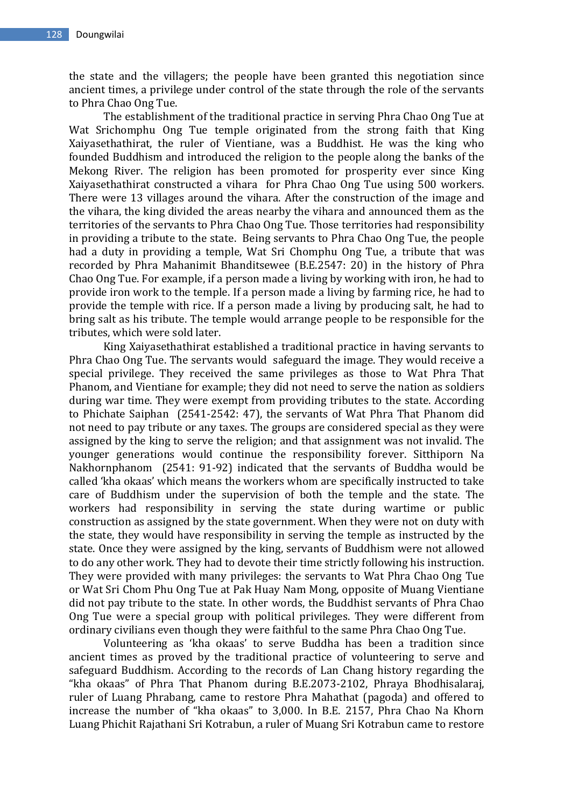the state and the villagers; the people have been granted this negotiation since ancient times, a privilege under control of the state through the role of the servants to Phra Chao Ong Tue.

The establishment of the traditional practice in serving Phra Chao Ong Tue at Wat Srichomphu Ong Tue temple originated from the strong faith that King Xaiyasethathirat, the ruler of Vientiane, was a Buddhist. He was the king who founded Buddhism and introduced the religion to the people along the banks of the Mekong River. The religion has been promoted for prosperity ever since King Xaiyasethathirat constructed a vihara for Phra Chao Ong Tue using 500 workers. There were 13 villages around the vihara. After the construction of the image and the vihara, the king divided the areas nearby the vihara and announced them as the territories of the servants to Phra Chao Ong Tue. Those territories had responsibility in providing a tribute to the state. Being servants to Phra Chao Ong Tue, the people had a duty in providing a temple, Wat Sri Chomphu Ong Tue, a tribute that was recorded by Phra Mahanimit Bhanditsewee (B.E.2547: 20) in the history of Phra Chao Ong Tue. For example, if a person made a living by working with iron, he had to provide iron work to the temple. If a person made a living by farming rice, he had to provide the temple with rice. If a person made a living by producing salt, he had to bring salt as his tribute. The temple would arrange people to be responsible for the tributes, which were sold later.

King Xaiyasethathirat established a traditional practice in having servants to Phra Chao Ong Tue. The servants would safeguard the image. They would receive a special privilege. They received the same privileges as those to Wat Phra That Phanom, and Vientiane for example; they did not need to serve the nation as soldiers during war time. They were exempt from providing tributes to the state. According to Phichate Saiphan (2541-2542: 47), the servants of Wat Phra That Phanom did not need to pay tribute or any taxes. The groups are considered special as they were assigned by the king to serve the religion; and that assignment was not invalid. The younger generations would continue the responsibility forever. Sitthiporn Na Nakhornphanom (2541: 91-92) indicated that the servants of Buddha would be called 'kha okaas' which means the workers whom are specifically instructed to take care of Buddhism under the supervision of both the temple and the state. The workers had responsibility in serving the state during wartime or public construction as assigned by the state government. When they were not on duty with the state, they would have responsibility in serving the temple as instructed by the state. Once they were assigned by the king, servants of Buddhism were not allowed to do any other work. They had to devote their time strictly following his instruction. They were provided with many privileges: the servants to Wat Phra Chao Ong Tue or Wat Sri Chom Phu Ong Tue at Pak Huay Nam Mong, opposite of Muang Vientiane did not pay tribute to the state. In other words, the Buddhist servants of Phra Chao Ong Tue were a special group with political privileges. They were different from ordinary civilians even though they were faithful to the same Phra Chao Ong Tue.

Volunteering as 'kha okaas' to serve Buddha has been a tradition since ancient times as proved by the traditional practice of volunteering to serve and safeguard Buddhism. According to the records of Lan Chang history regarding the "kha okaas" of Phra That Phanom during B.E.2073-2102, Phraya Bhodhisalaraj, ruler of Luang Phrabang, came to restore Phra Mahathat (pagoda) and offered to increase the number of "kha okaas" to 3,000. In B.E. 2157, Phra Chao Na Khorn Luang Phichit Rajathani Sri Kotrabun, a ruler of Muang Sri Kotrabun came to restore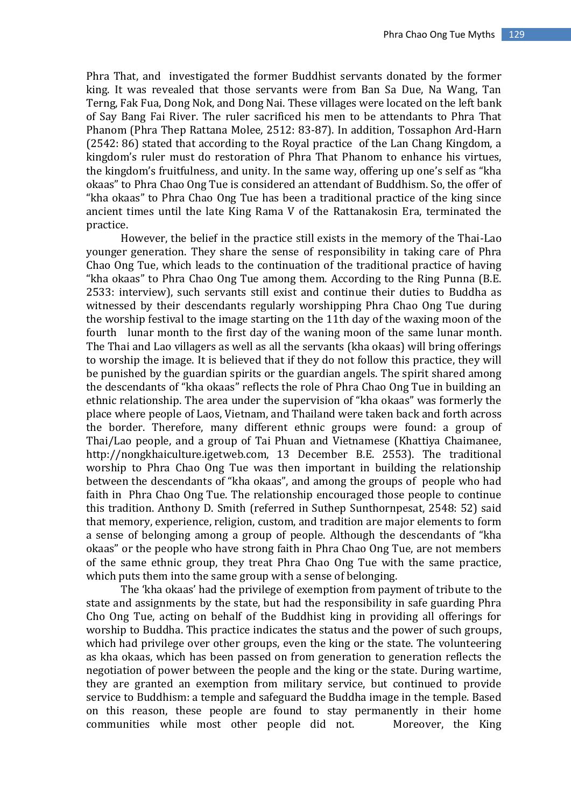Phra That, and investigated the former Buddhist servants donated by the former king. It was revealed that those servants were from Ban Sa Due, Na Wang, Tan Terng, Fak Fua, Dong Nok, and Dong Nai. These villages were located on the left bank of Say Bang Fai River. The ruler sacrificed his men to be attendants to Phra That Phanom (Phra Thep Rattana Molee, 2512: 83-87). In addition, Tossaphon Ard-Harn (2542: 86) stated that according to the Royal practice of the Lan Chang Kingdom, a kingdom's ruler must do restoration of Phra That Phanom to enhance his virtues, the kingdom's fruitfulness, and unity. In the same way, offering up one's self as "kha okaas" to Phra Chao Ong Tue is considered an attendant of Buddhism. So, the offer of "kha okaas" to Phra Chao Ong Tue has been a traditional practice of the king since ancient times until the late King Rama V of the Rattanakosin Era, terminated the practice.

However, the belief in the practice still exists in the memory of the Thai-Lao younger generation. They share the sense of responsibility in taking care of Phra Chao Ong Tue, which leads to the continuation of the traditional practice of having "kha okaas" to Phra Chao Ong Tue among them. According to the Ring Punna (B.E. 2533: interview), such servants still exist and continue their duties to Buddha as witnessed by their descendants regularly worshipping Phra Chao Ong Tue during the worship festival to the image starting on the 11th day of the waxing moon of the fourth lunar month to the first day of the waning moon of the same lunar month. The Thai and Lao villagers as well as all the servants (kha okaas) will bring offerings to worship the image. It is believed that if they do not follow this practice, they will be punished by the guardian spirits or the guardian angels. The spirit shared among the descendants of "kha okaas" reflects the role of Phra Chao Ong Tue in building an ethnic relationship. The area under the supervision of "kha okaas" was formerly the place where people of Laos, Vietnam, and Thailand were taken back and forth across the border. Therefore, many different ethnic groups were found: a group of Thai/Lao people, and a group of Tai Phuan and Vietnamese (Khattiya Chaimanee, http://nongkhaiculture.igetweb.com, 13 December B.E. 2553). The traditional worship to Phra Chao Ong Tue was then important in building the relationship between the descendants of "kha okaas", and among the groups of people who had faith in Phra Chao Ong Tue. The relationship encouraged those people to continue this tradition. Anthony D. Smith (referred in Suthep Sunthornpesat, 2548: 52) said that memory, experience, religion, custom, and tradition are major elements to form a sense of belonging among a group of people. Although the descendants of "kha okaas" or the people who have strong faith in Phra Chao Ong Tue, are not members of the same ethnic group, they treat Phra Chao Ong Tue with the same practice, which puts them into the same group with a sense of belonging.

The 'kha okaas' had the privilege of exemption from payment of tribute to the state and assignments by the state, but had the responsibility in safe guarding Phra Cho Ong Tue, acting on behalf of the Buddhist king in providing all offerings for worship to Buddha. This practice indicates the status and the power of such groups, which had privilege over other groups, even the king or the state. The volunteering as kha okaas, which has been passed on from generation to generation reflects the negotiation of power between the people and the king or the state. During wartime, they are granted an exemption from military service, but continued to provide service to Buddhism: a temple and safeguard the Buddha image in the temple. Based on this reason, these people are found to stay permanently in their home communities while most other people did not. Moreover, the King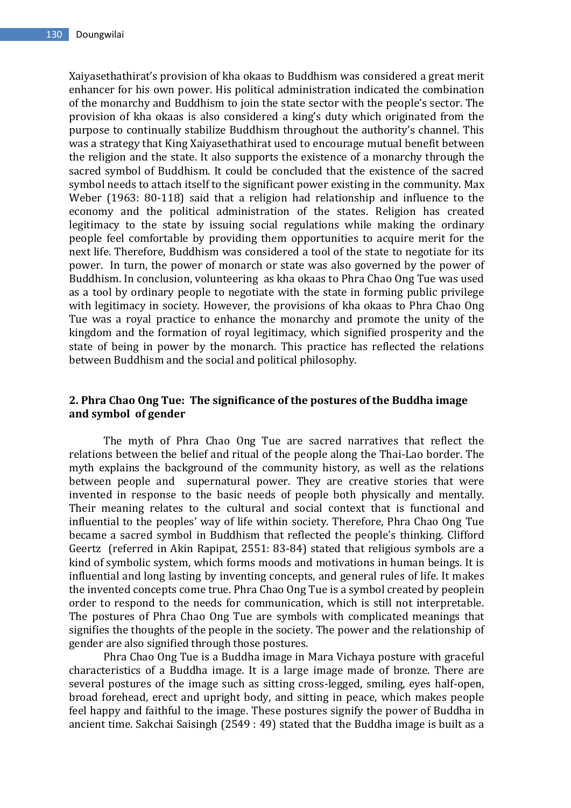Xaiyasethathirat's provision of kha okaas to Buddhism was considered a great merit enhancer for his own power. His political administration indicated the combination of the monarchy and Buddhism to join the state sector with the people's sector. The provision of kha okaas is also considered a king's duty which originated from the purpose to continually stabilize Buddhism throughout the authority's channel. This was a strategy that King Xaiyasethathirat used to encourage mutual benefit between the religion and the state. It also supports the existence of a monarchy through the sacred symbol of Buddhism. It could be concluded that the existence of the sacred symbol needs to attach itself to the significant power existing in the community. Max Weber (1963: 80-118) said that a religion had relationship and influence to the economy and the political administration of the states. Religion has created legitimacy to the state by issuing social regulations while making the ordinary people feel comfortable by providing them opportunities to acquire merit for the next life. Therefore, Buddhism was considered a tool of the state to negotiate for its power. In turn, the power of monarch or state was also governed by the power of Buddhism. In conclusion, volunteering as kha okaas to Phra Chao Ong Tue was used as a tool by ordinary people to negotiate with the state in forming public privilege with legitimacy in society. However, the provisions of kha okaas to Phra Chao Ong Tue was a royal practice to enhance the monarchy and promote the unity of the kingdom and the formation of royal legitimacy, which signified prosperity and the state of being in power by the monarch. This practice has reflected the relations between Buddhism and the social and political philosophy.

# **2. Phra Chao Ong Tue: The significance of the postures of the Buddha image and symbol of gender**

The myth of Phra Chao Ong Tue are sacred narratives that reflect the relations between the belief and ritual of the people along the Thai-Lao border. The myth explains the background of the community history, as well as the relations between people and supernatural power. They are creative stories that were invented in response to the basic needs of people both physically and mentally. Their meaning relates to the cultural and social context that is functional and influential to the peoples' way of life within society. Therefore, Phra Chao Ong Tue became a sacred symbol in Buddhism that reflected the people's thinking. Clifford Geertz (referred in Akin Rapipat, 2551: 83-84) stated that religious symbols are a kind of symbolic system, which forms moods and motivations in human beings. It is influential and long lasting by inventing concepts, and general rules of life. It makes the invented concepts come true. Phra Chao Ong Tue is a symbol created by peoplein order to respond to the needs for communication, which is still not interpretable. The postures of Phra Chao Ong Tue are symbols with complicated meanings that signifies the thoughts of the people in the society. The power and the relationship of gender are also signified through those postures.

Phra Chao Ong Tue is a Buddha image in Mara Vichaya posture with graceful characteristics of a Buddha image. It is a large image made of bronze. There are several postures of the image such as sitting cross-legged, smiling, eyes half-open, broad forehead, erect and upright body, and sitting in peace, which makes people feel happy and faithful to the image. These postures signify the power of Buddha in ancient time. Sakchai Saisingh (2549 : 49) stated that the Buddha image is built as a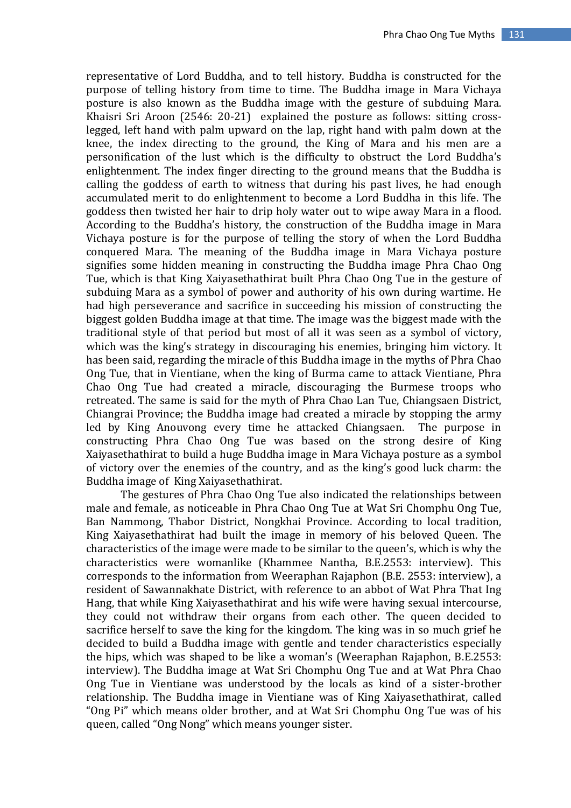representative of Lord Buddha, and to tell history. Buddha is constructed for the purpose of telling history from time to time. The Buddha image in Mara Vichaya posture is also known as the Buddha image with the gesture of subduing Mara. Khaisri Sri Aroon (2546: 20-21) explained the posture as follows: sitting crosslegged, left hand with palm upward on the lap, right hand with palm down at the knee, the index directing to the ground, the King of Mara and his men are a personification of the lust which is the difficulty to obstruct the Lord Buddha's enlightenment. The index finger directing to the ground means that the Buddha is calling the goddess of earth to witness that during his past lives, he had enough accumulated merit to do enlightenment to become a Lord Buddha in this life. The goddess then twisted her hair to drip holy water out to wipe away Mara in a flood. According to the Buddha's history, the construction of the Buddha image in Mara Vichaya posture is for the purpose of telling the story of when the Lord Buddha conquered Mara. The meaning of the Buddha image in Mara Vichaya posture signifies some hidden meaning in constructing the Buddha image Phra Chao Ong Tue, which is that King Xaiyasethathirat built Phra Chao Ong Tue in the gesture of subduing Mara as a symbol of power and authority of his own during wartime. He had high perseverance and sacrifice in succeeding his mission of constructing the biggest golden Buddha image at that time. The image was the biggest made with the traditional style of that period but most of all it was seen as a symbol of victory, which was the king's strategy in discouraging his enemies, bringing him victory. It has been said, regarding the miracle of this Buddha image in the myths of Phra Chao Ong Tue, that in Vientiane, when the king of Burma came to attack Vientiane, Phra Chao Ong Tue had created a miracle, discouraging the Burmese troops who retreated. The same is said for the myth of Phra Chao Lan Tue, Chiangsaen District, Chiangrai Province; the Buddha image had created a miracle by stopping the army led by King Anouvong every time he attacked Chiangsaen. The purpose in constructing Phra Chao Ong Tue was based on the strong desire of King Xaiyasethathirat to build a huge Buddha image in Mara Vichaya posture as a symbol of victory over the enemies of the country, and as the king's good luck charm: the Buddha image of King Xaiyasethathirat.

The gestures of Phra Chao Ong Tue also indicated the relationships between male and female, as noticeable in Phra Chao Ong Tue at Wat Sri Chomphu Ong Tue, Ban Nammong, Thabor District, Nongkhai Province. According to local tradition, King Xaiyasethathirat had built the image in memory of his beloved Queen. The characteristics of the image were made to be similar to the queen's, which is why the characteristics were womanlike (Khammee Nantha, B.E.2553: interview). This corresponds to the information from Weeraphan Rajaphon (B.E. 2553: interview), a resident of Sawannakhate District, with reference to an abbot of Wat Phra That Ing Hang, that while King Xaiyasethathirat and his wife were having sexual intercourse, they could not withdraw their organs from each other. The queen decided to sacrifice herself to save the king for the kingdom. The king was in so much grief he decided to build a Buddha image with gentle and tender characteristics especially the hips, which was shaped to be like a woman's (Weeraphan Rajaphon, B.E.2553: interview). The Buddha image at Wat Sri Chomphu Ong Tue and at Wat Phra Chao Ong Tue in Vientiane was understood by the locals as kind of a sister-brother relationship. The Buddha image in Vientiane was of King Xaiyasethathirat, called "Ong Pi" which means older brother, and at Wat Sri Chomphu Ong Tue was of his queen, called "Ong Nong" which means younger sister.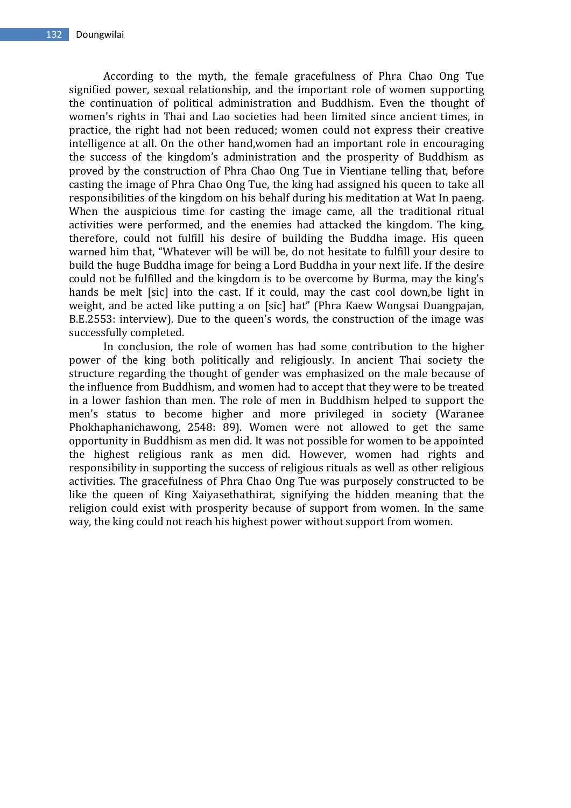According to the myth, the female gracefulness of Phra Chao Ong Tue signified power, sexual relationship, and the important role of women supporting the continuation of political administration and Buddhism. Even the thought of women's rights in Thai and Lao societies had been limited since ancient times, in practice, the right had not been reduced; women could not express their creative intelligence at all. On the other hand,women had an important role in encouraging the success of the kingdom's administration and the prosperity of Buddhism as proved by the construction of Phra Chao Ong Tue in Vientiane telling that, before casting the image of Phra Chao Ong Tue, the king had assigned his queen to take all responsibilities of the kingdom on his behalf during his meditation at Wat In paeng. When the auspicious time for casting the image came, all the traditional ritual activities were performed, and the enemies had attacked the kingdom. The king, therefore, could not fulfill his desire of building the Buddha image. His queen warned him that, "Whatever will be will be, do not hesitate to fulfill your desire to build the huge Buddha image for being a Lord Buddha in your next life. If the desire could not be fulfilled and the kingdom is to be overcome by Burma, may the king's hands be melt [sic] into the cast. If it could, may the cast cool down,be light in weight, and be acted like putting a on [sic] hat" (Phra Kaew Wongsai Duangpajan, B.E.2553: interview). Due to the queen's words, the construction of the image was successfully completed.

In conclusion, the role of women has had some contribution to the higher power of the king both politically and religiously. In ancient Thai society the structure regarding the thought of gender was emphasized on the male because of the influence from Buddhism, and women had to accept that they were to be treated in a lower fashion than men. The role of men in Buddhism helped to support the men's status to become higher and more privileged in society (Waranee Phokhaphanichawong, 2548: 89). Women were not allowed to get the same opportunity in Buddhism as men did. It was not possible for women to be appointed the highest religious rank as men did. However, women had rights and responsibility in supporting the success of religious rituals as well as other religious activities. The gracefulness of Phra Chao Ong Tue was purposely constructed to be like the queen of King Xaiyasethathirat, signifying the hidden meaning that the religion could exist with prosperity because of support from women. In the same way, the king could not reach his highest power without support from women.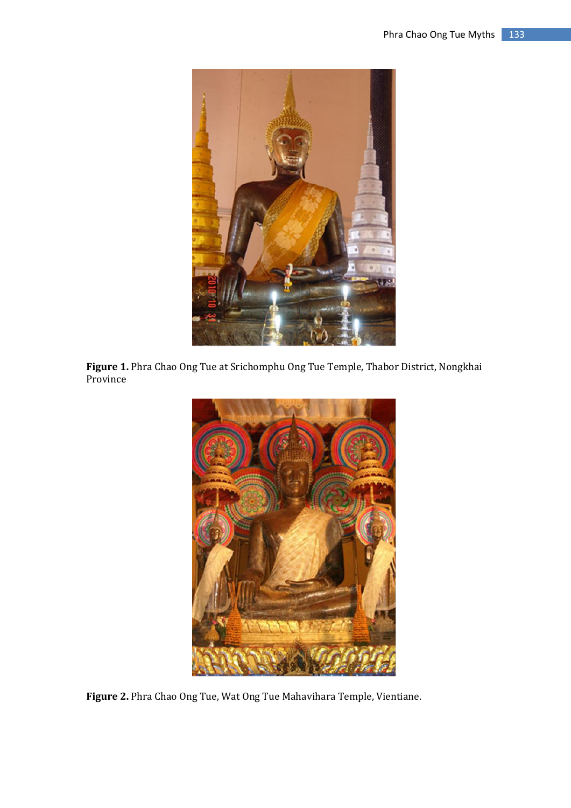

**Figure 1.** Phra Chao Ong Tue at Srichomphu Ong Tue Temple, Thabor District, Nongkhai Province



**Figure 2.** Phra Chao Ong Tue, Wat Ong Tue Mahavihara Temple, Vientiane.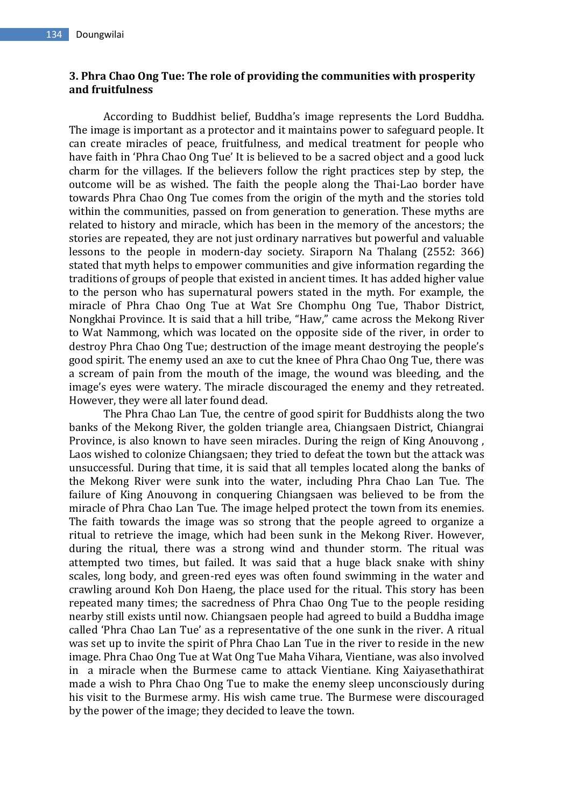# **3. Phra Chao Ong Tue: The role of providing the communities with prosperity and fruitfulness**

According to Buddhist belief, Buddha's image represents the Lord Buddha. The image is important as a protector and it maintains power to safeguard people. It can create miracles of peace, fruitfulness, and medical treatment for people who have faith in 'Phra Chao Ong Tue' It is believed to be a sacred object and a good luck charm for the villages. If the believers follow the right practices step by step, the outcome will be as wished. The faith the people along the Thai-Lao border have towards Phra Chao Ong Tue comes from the origin of the myth and the stories told within the communities, passed on from generation to generation. These myths are related to history and miracle, which has been in the memory of the ancestors; the stories are repeated, they are not just ordinary narratives but powerful and valuable lessons to the people in modern-day society. Siraporn Na Thalang (2552: 366) stated that myth helps to empower communities and give information regarding the traditions of groups of people that existed in ancient times. It has added higher value to the person who has supernatural powers stated in the myth. For example, the miracle of Phra Chao Ong Tue at Wat Sre Chomphu Ong Tue, Thabor District, Nongkhai Province. It is said that a hill tribe, "Haw," came across the Mekong River to Wat Nammong, which was located on the opposite side of the river, in order to destroy Phra Chao Ong Tue; destruction of the image meant destroying the people's good spirit. The enemy used an axe to cut the knee of Phra Chao Ong Tue, there was a scream of pain from the mouth of the image, the wound was bleeding, and the image's eyes were watery. The miracle discouraged the enemy and they retreated. However, they were all later found dead.

The Phra Chao Lan Tue, the centre of good spirit for Buddhists along the two banks of the Mekong River, the golden triangle area, Chiangsaen District, Chiangrai Province, is also known to have seen miracles. During the reign of King Anouvong , Laos wished to colonize Chiangsaen; they tried to defeat the town but the attack was unsuccessful. During that time, it is said that all temples located along the banks of the Mekong River were sunk into the water, including Phra Chao Lan Tue. The failure of King Anouvong in conquering Chiangsaen was believed to be from the miracle of Phra Chao Lan Tue. The image helped protect the town from its enemies. The faith towards the image was so strong that the people agreed to organize a ritual to retrieve the image, which had been sunk in the Mekong River. However, during the ritual, there was a strong wind and thunder storm. The ritual was attempted two times, but failed. It was said that a huge black snake with shiny scales, long body, and green-red eyes was often found swimming in the water and crawling around Koh Don Haeng, the place used for the ritual. This story has been repeated many times; the sacredness of Phra Chao Ong Tue to the people residing nearby still exists until now. Chiangsaen people had agreed to build a Buddha image called 'Phra Chao Lan Tue' as a representative of the one sunk in the river. A ritual was set up to invite the spirit of Phra Chao Lan Tue in the river to reside in the new image. Phra Chao Ong Tue at Wat Ong Tue Maha Vihara, Vientiane, was also involved in a miracle when the Burmese came to attack Vientiane. King Xaiyasethathirat made a wish to Phra Chao Ong Tue to make the enemy sleep unconsciously during his visit to the Burmese army. His wish came true. The Burmese were discouraged by the power of the image; they decided to leave the town.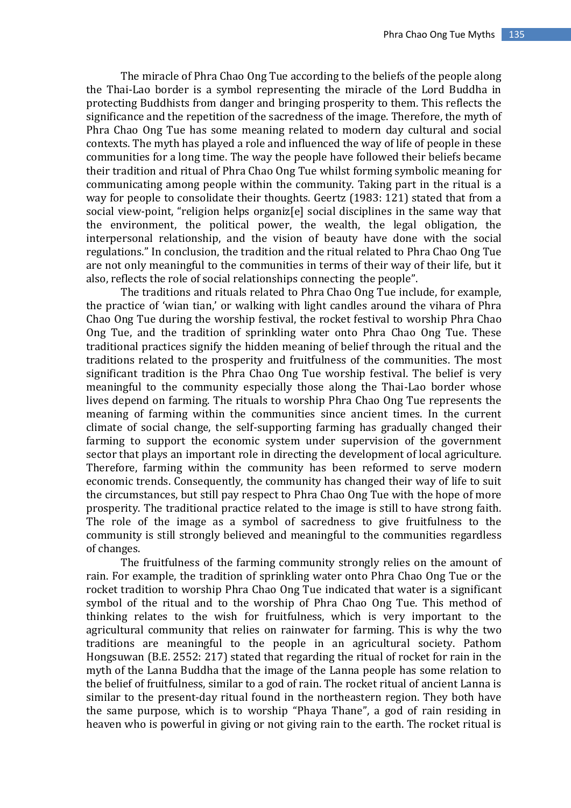The miracle of Phra Chao Ong Tue according to the beliefs of the people along the Thai-Lao border is a symbol representing the miracle of the Lord Buddha in protecting Buddhists from danger and bringing prosperity to them. This reflects the significance and the repetition of the sacredness of the image. Therefore, the myth of Phra Chao Ong Tue has some meaning related to modern day cultural and social contexts. The myth has played a role and influenced the way of life of people in these communities for a long time. The way the people have followed their beliefs became their tradition and ritual of Phra Chao Ong Tue whilst forming symbolic meaning for communicating among people within the community. Taking part in the ritual is a way for people to consolidate their thoughts. Geertz (1983: 121) stated that from a social view-point, "religion helps organiz[e] social disciplines in the same way that the environment, the political power, the wealth, the legal obligation, the interpersonal relationship, and the vision of beauty have done with the social regulations." In conclusion, the tradition and the ritual related to Phra Chao Ong Tue are not only meaningful to the communities in terms of their way of their life, but it also, reflects the role of social relationships connecting the people".

The traditions and rituals related to Phra Chao Ong Tue include, for example, the practice of 'wian tian,' or walking with light candles around the vihara of Phra Chao Ong Tue during the worship festival, the rocket festival to worship Phra Chao Ong Tue, and the tradition of sprinkling water onto Phra Chao Ong Tue. These traditional practices signify the hidden meaning of belief through the ritual and the traditions related to the prosperity and fruitfulness of the communities. The most significant tradition is the Phra Chao Ong Tue worship festival. The belief is very meaningful to the community especially those along the Thai-Lao border whose lives depend on farming. The rituals to worship Phra Chao Ong Tue represents the meaning of farming within the communities since ancient times. In the current climate of social change, the self-supporting farming has gradually changed their farming to support the economic system under supervision of the government sector that plays an important role in directing the development of local agriculture. Therefore, farming within the community has been reformed to serve modern economic trends. Consequently, the community has changed their way of life to suit the circumstances, but still pay respect to Phra Chao Ong Tue with the hope of more prosperity. The traditional practice related to the image is still to have strong faith. The role of the image as a symbol of sacredness to give fruitfulness to the community is still strongly believed and meaningful to the communities regardless of changes.

The fruitfulness of the farming community strongly relies on the amount of rain. For example, the tradition of sprinkling water onto Phra Chao Ong Tue or the rocket tradition to worship Phra Chao Ong Tue indicated that water is a significant symbol of the ritual and to the worship of Phra Chao Ong Tue. This method of thinking relates to the wish for fruitfulness, which is very important to the agricultural community that relies on rainwater for farming. This is why the two traditions are meaningful to the people in an agricultural society. Pathom Hongsuwan (B.E. 2552: 217) stated that regarding the ritual of rocket for rain in the myth of the Lanna Buddha that the image of the Lanna people has some relation to the belief of fruitfulness, similar to a god of rain. The rocket ritual of ancient Lanna is similar to the present-day ritual found in the northeastern region. They both have the same purpose, which is to worship "Phaya Thane", a god of rain residing in heaven who is powerful in giving or not giving rain to the earth. The rocket ritual is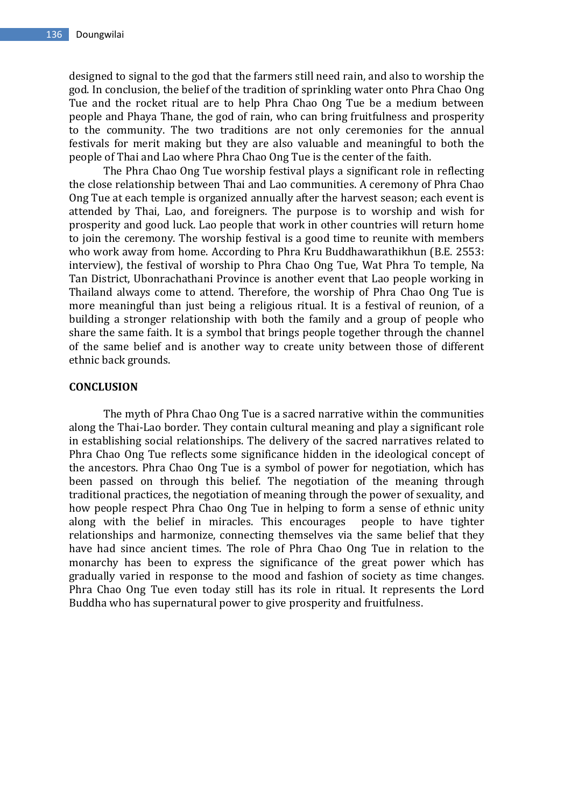designed to signal to the god that the farmers still need rain, and also to worship the god. In conclusion, the belief of the tradition of sprinkling water onto Phra Chao Ong Tue and the rocket ritual are to help Phra Chao Ong Tue be a medium between people and Phaya Thane, the god of rain, who can bring fruitfulness and prosperity to the community. The two traditions are not only ceremonies for the annual festivals for merit making but they are also valuable and meaningful to both the people of Thai and Lao where Phra Chao Ong Tue is the center of the faith.

The Phra Chao Ong Tue worship festival plays a significant role in reflecting the close relationship between Thai and Lao communities. A ceremony of Phra Chao Ong Tue at each temple is organized annually after the harvest season; each event is attended by Thai, Lao, and foreigners. The purpose is to worship and wish for prosperity and good luck. Lao people that work in other countries will return home to join the ceremony. The worship festival is a good time to reunite with members who work away from home. According to Phra Kru Buddhawarathikhun (B.E. 2553: interview), the festival of worship to Phra Chao Ong Tue, Wat Phra To temple, Na Tan District, Ubonrachathani Province is another event that Lao people working in Thailand always come to attend. Therefore, the worship of Phra Chao Ong Tue is more meaningful than just being a religious ritual. It is a festival of reunion, of a building a stronger relationship with both the family and a group of people who share the same faith. It is a symbol that brings people together through the channel of the same belief and is another way to create unity between those of different ethnic back grounds.

#### **CONCLUSION**

The myth of Phra Chao Ong Tue is a sacred narrative within the communities along the Thai-Lao border. They contain cultural meaning and play a significant role in establishing social relationships. The delivery of the sacred narratives related to Phra Chao Ong Tue reflects some significance hidden in the ideological concept of the ancestors. Phra Chao Ong Tue is a symbol of power for negotiation, which has been passed on through this belief. The negotiation of the meaning through traditional practices, the negotiation of meaning through the power of sexuality, and how people respect Phra Chao Ong Tue in helping to form a sense of ethnic unity along with the belief in miracles. This encourages people to have tighter relationships and harmonize, connecting themselves via the same belief that they have had since ancient times. The role of Phra Chao Ong Tue in relation to the monarchy has been to express the significance of the great power which has gradually varied in response to the mood and fashion of society as time changes. Phra Chao Ong Tue even today still has its role in ritual. It represents the Lord Buddha who has supernatural power to give prosperity and fruitfulness.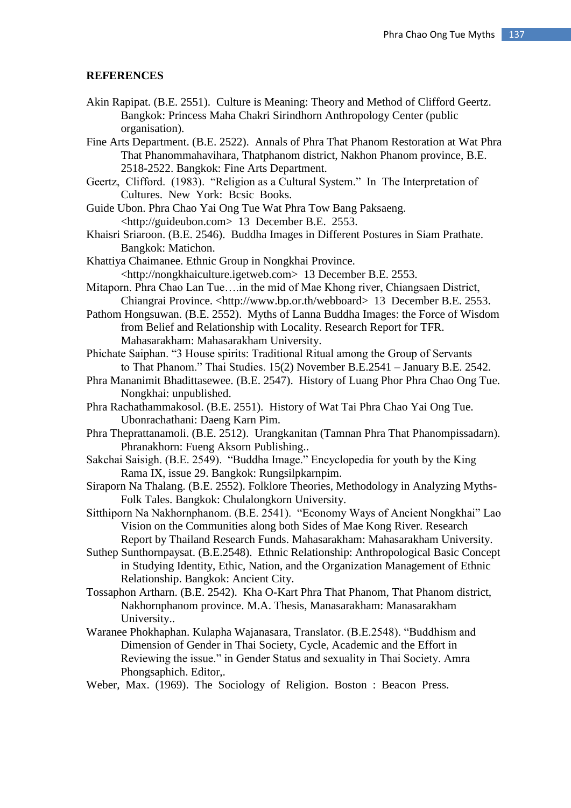#### **REFERENCES**

- Akin Rapipat. (B.E. 2551). Culture is Meaning: Theory and Method of Clifford Geertz. Bangkok: Princess Maha Chakri Sirindhorn Anthropology Center (public organisation).
- Fine Arts Department. (B.E. 2522). Annals of Phra That Phanom Restoration at Wat Phra That Phanommahavihara, Thatphanom district, Nakhon Phanom province, B.E. 2518-2522. Bangkok: Fine Arts Department.
- Geertz, Clifford. (1983). "Religion as a Cultural System." In The Interpretation of Cultures. New York: Bcsic Books.
- Guide Ubon. Phra Chao Yai Ong Tue Wat Phra Tow Bang Paksaeng. <http://guideubon.com> 13 December B.E. 2553.
- Khaisri Sriaroon. (B.E. 2546). Buddha Images in Different Postures in Siam Prathate. Bangkok: Matichon.
- Khattiya Chaimanee. Ethnic Group in Nongkhai Province. <http://nongkhaiculture.igetweb.com> 13 December B.E. 2553.
- Mitaporn. Phra Chao Lan Tue….in the mid of Mae Khong river, Chiangsaen District, Chiangrai Province. <http://www.bp.or.th/webboard> 13 December B.E. 2553.
- Pathom Hongsuwan. (B.E. 2552). Myths of Lanna Buddha Images: the Force of Wisdom from Belief and Relationship with Locality. Research Report for TFR. Mahasarakham: Mahasarakham University.
- Phichate Saiphan. "3 House spirits: Traditional Ritual among the Group of Servants to That Phanom." Thai Studies. 15(2) November B.E.2541 – January B.E. 2542.
- Phra Mananimit Bhadittasewee. (B.E. 2547). History of Luang Phor Phra Chao Ong Tue. Nongkhai: unpublished.
- Phra Rachathammakosol. (B.E. 2551). History of Wat Tai Phra Chao Yai Ong Tue. Ubonrachathani: Daeng Karn Pim.
- Phra Theprattanamoli. (B.E. 2512). Urangkanitan (Tamnan Phra That Phanompissadarn). Phranakhorn: Fueng Aksorn Publishing..
- Sakchai Saisigh. (B.E. 2549). "Buddha Image." Encyclopedia for youth by the King Rama IX, issue 29. Bangkok: Rungsilpkarnpim.
- Siraporn Na Thalang. (B.E. 2552). Folklore Theories, Methodology in Analyzing Myths-Folk Tales. Bangkok: Chulalongkorn University.
- Sitthiporn Na Nakhornphanom. (B.E. 2541). "Economy Ways of Ancient Nongkhai" Lao Vision on the Communities along both Sides of Mae Kong River. Research Report by Thailand Research Funds. Mahasarakham: Mahasarakham University.
- Suthep Sunthornpaysat. (B.E.2548). Ethnic Relationship: Anthropological Basic Concept in Studying Identity, Ethic, Nation, and the Organization Management of Ethnic Relationship. Bangkok: Ancient City.
- Tossaphon Artharn. (B.E. 2542). Kha O-Kart Phra That Phanom, That Phanom district, Nakhornphanom province. M.A. Thesis, Manasarakham: Manasarakham University..
- Waranee Phokhaphan. Kulapha Wajanasara, Translator. (B.E.2548). "Buddhism and Dimension of Gender in Thai Society, Cycle, Academic and the Effort in Reviewing the issue." in Gender Status and sexuality in Thai Society. Amra Phongsaphich. Editor,.
- Weber, Max. (1969). The Sociology of Religion. Boston : Beacon Press.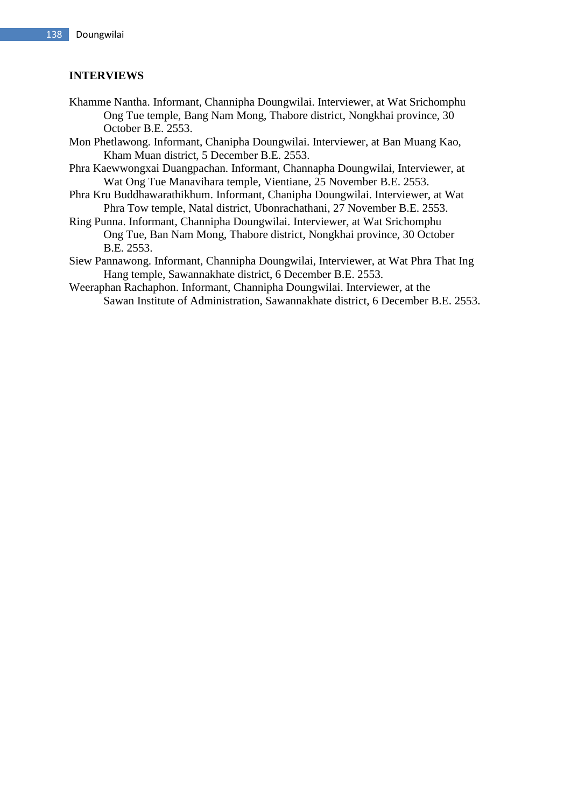# **INTERVIEWS**

- Khamme Nantha. Informant, Channipha Doungwilai. Interviewer, at Wat Srichomphu Ong Tue temple, Bang Nam Mong, Thabore district, Nongkhai province, 30 October B.E. 2553.
- Mon Phetlawong. Informant, Chanipha Doungwilai. Interviewer, at Ban Muang Kao, Kham Muan district, 5 December B.E. 2553.
- Phra Kaewwongxai Duangpachan. Informant, Channapha Doungwilai, Interviewer, at Wat Ong Tue Manavihara temple, Vientiane, 25 November B.E. 2553.
- Phra Kru Buddhawarathikhum. Informant, Chanipha Doungwilai. Interviewer, at Wat Phra Tow temple, Natal district, Ubonrachathani, 27 November B.E. 2553.
- Ring Punna. Informant, Channipha Doungwilai. Interviewer, at Wat Srichomphu Ong Tue, Ban Nam Mong, Thabore district, Nongkhai province, 30 October B.E. 2553.
- Siew Pannawong. Informant, Channipha Doungwilai, Interviewer, at Wat Phra That Ing Hang temple, Sawannakhate district, 6 December B.E. 2553.
- Weeraphan Rachaphon. Informant, Channipha Doungwilai. Interviewer, at the Sawan Institute of Administration, Sawannakhate district, 6 December B.E. 2553.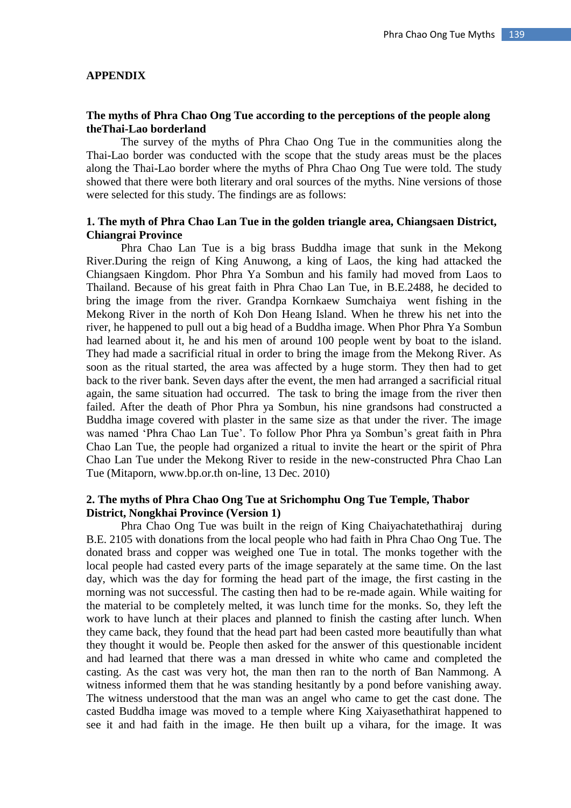#### **APPENDIX**

#### **The myths of Phra Chao Ong Tue according to the perceptions of the people along theThai-Lao borderland**

The survey of the myths of Phra Chao Ong Tue in the communities along the Thai-Lao border was conducted with the scope that the study areas must be the places along the Thai-Lao border where the myths of Phra Chao Ong Tue were told. The study showed that there were both literary and oral sources of the myths. Nine versions of those were selected for this study. The findings are as follows:

## **1. The myth of Phra Chao Lan Tue in the golden triangle area, Chiangsaen District, Chiangrai Province**

Phra Chao Lan Tue is a big brass Buddha image that sunk in the Mekong River.During the reign of King Anuwong, a king of Laos, the king had attacked the Chiangsaen Kingdom. Phor Phra Ya Sombun and his family had moved from Laos to Thailand. Because of his great faith in Phra Chao Lan Tue, in B.E.2488, he decided to bring the image from the river. Grandpa Kornkaew Sumchaiya went fishing in the Mekong River in the north of Koh Don Heang Island. When he threw his net into the river, he happened to pull out a big head of a Buddha image. When Phor Phra Ya Sombun had learned about it, he and his men of around 100 people went by boat to the island. They had made a sacrificial ritual in order to bring the image from the Mekong River. As soon as the ritual started, the area was affected by a huge storm. They then had to get back to the river bank. Seven days after the event, the men had arranged a sacrificial ritual again, the same situation had occurred. The task to bring the image from the river then failed. After the death of Phor Phra ya Sombun, his nine grandsons had constructed a Buddha image covered with plaster in the same size as that under the river. The image was named 'Phra Chao Lan Tue'. To follow Phor Phra ya Sombun's great faith in Phra Chao Lan Tue, the people had organized a ritual to invite the heart or the spirit of Phra Chao Lan Tue under the Mekong River to reside in the new-constructed Phra Chao Lan Tue (Mitaporn, www.bp.or.th on-line, 13 Dec. 2010)

### **2. The myths of Phra Chao Ong Tue at Srichomphu Ong Tue Temple, Thabor District, Nongkhai Province (Version 1)**

Phra Chao Ong Tue was built in the reign of King Chaiyachatethathiraj during B.E. 2105 with donations from the local people who had faith in Phra Chao Ong Tue. The donated brass and copper was weighed one Tue in total. The monks together with the local people had casted every parts of the image separately at the same time. On the last day, which was the day for forming the head part of the image, the first casting in the morning was not successful. The casting then had to be re-made again. While waiting for the material to be completely melted, it was lunch time for the monks. So, they left the work to have lunch at their places and planned to finish the casting after lunch. When they came back, they found that the head part had been casted more beautifully than what they thought it would be. People then asked for the answer of this questionable incident and had learned that there was a man dressed in white who came and completed the casting. As the cast was very hot, the man then ran to the north of Ban Nammong. A witness informed them that he was standing hesitantly by a pond before vanishing away. The witness understood that the man was an angel who came to get the cast done. The casted Buddha image was moved to a temple where King Xaiyasethathirat happened to see it and had faith in the image. He then built up a vihara, for the image. It was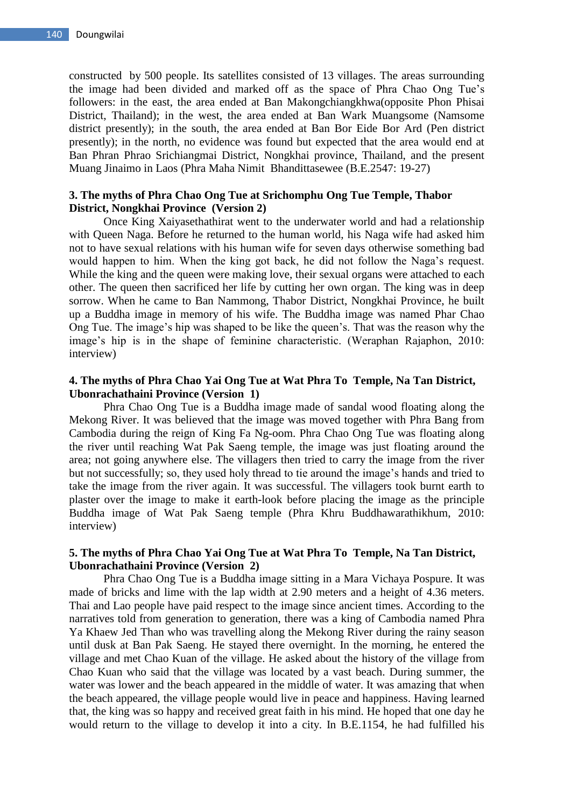constructed by 500 people. Its satellites consisted of 13 villages. The areas surrounding the image had been divided and marked off as the space of Phra Chao Ong Tue's followers: in the east, the area ended at Ban Makongchiangkhwa(opposite Phon Phisai District, Thailand); in the west, the area ended at Ban Wark Muangsome (Namsome district presently); in the south, the area ended at Ban Bor Eide Bor Ard (Pen district presently); in the north, no evidence was found but expected that the area would end at Ban Phran Phrao Srichiangmai District, Nongkhai province, Thailand, and the present Muang Jinaimo in Laos (Phra Maha Nimit Bhandittasewee (B.E.2547: 19-27)

### **3. The myths of Phra Chao Ong Tue at Srichomphu Ong Tue Temple, Thabor District, Nongkhai Province (Version 2)**

Once King Xaiyasethathirat went to the underwater world and had a relationship with Queen Naga. Before he returned to the human world, his Naga wife had asked him not to have sexual relations with his human wife for seven days otherwise something bad would happen to him. When the king got back, he did not follow the Naga's request. While the king and the queen were making love, their sexual organs were attached to each other. The queen then sacrificed her life by cutting her own organ. The king was in deep sorrow. When he came to Ban Nammong, Thabor District, Nongkhai Province, he built up a Buddha image in memory of his wife. The Buddha image was named Phar Chao Ong Tue. The image's hip was shaped to be like the queen's. That was the reason why the image's hip is in the shape of feminine characteristic. (Weraphan Rajaphon, 2010: interview)

#### **4. The myths of Phra Chao Yai Ong Tue at Wat Phra To Temple, Na Tan District, Ubonrachathaini Province (Version 1)**

Phra Chao Ong Tue is a Buddha image made of sandal wood floating along the Mekong River. It was believed that the image was moved together with Phra Bang from Cambodia during the reign of King Fa Ng-oom. Phra Chao Ong Tue was floating along the river until reaching Wat Pak Saeng temple, the image was just floating around the area; not going anywhere else. The villagers then tried to carry the image from the river but not successfully; so, they used holy thread to tie around the image's hands and tried to take the image from the river again. It was successful. The villagers took burnt earth to plaster over the image to make it earth-look before placing the image as the principle Buddha image of Wat Pak Saeng temple (Phra Khru Buddhawarathikhum, 2010: interview)

## **5. The myths of Phra Chao Yai Ong Tue at Wat Phra To Temple, Na Tan District, Ubonrachathaini Province (Version 2)**

Phra Chao Ong Tue is a Buddha image sitting in a Mara Vichaya Pospure. It was made of bricks and lime with the lap width at 2.90 meters and a height of 4.36 meters. Thai and Lao people have paid respect to the image since ancient times. According to the narratives told from generation to generation, there was a king of Cambodia named Phra Ya Khaew Jed Than who was travelling along the Mekong River during the rainy season until dusk at Ban Pak Saeng. He stayed there overnight. In the morning, he entered the village and met Chao Kuan of the village. He asked about the history of the village from Chao Kuan who said that the village was located by a vast beach. During summer, the water was lower and the beach appeared in the middle of water. It was amazing that when the beach appeared, the village people would live in peace and happiness. Having learned that, the king was so happy and received great faith in his mind. He hoped that one day he would return to the village to develop it into a city. In B.E.1154, he had fulfilled his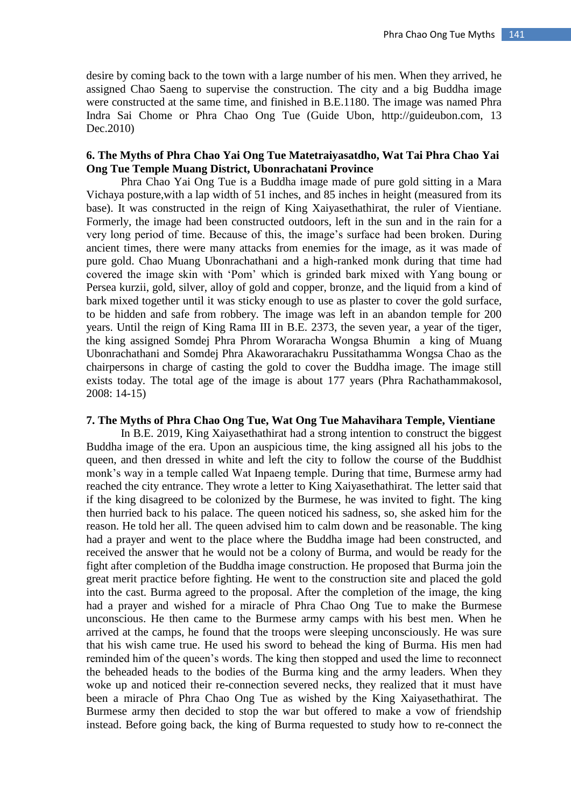desire by coming back to the town with a large number of his men. When they arrived, he assigned Chao Saeng to supervise the construction. The city and a big Buddha image were constructed at the same time, and finished in B.E.1180. The image was named Phra Indra Sai Chome or Phra Chao Ong Tue (Guide Ubon, http://guideubon.com, 13 Dec.2010)

# **6. The Myths of Phra Chao Yai Ong Tue Matetraiyasatdho, Wat Tai Phra Chao Yai Ong Tue Temple Muang District, Ubonrachatani Province**

Phra Chao Yai Ong Tue is a Buddha image made of pure gold sitting in a Mara Vichaya posture,with a lap width of 51 inches, and 85 inches in height (measured from its base). It was constructed in the reign of King Xaiyasethathirat, the ruler of Vientiane. Formerly, the image had been constructed outdoors, left in the sun and in the rain for a very long period of time. Because of this, the image's surface had been broken. During ancient times, there were many attacks from enemies for the image, as it was made of pure gold. Chao Muang Ubonrachathani and a high-ranked monk during that time had covered the image skin with 'Pom' which is grinded bark mixed with Yang boung or Persea kurzii, gold, silver, alloy of gold and copper, bronze, and the liquid from a kind of bark mixed together until it was sticky enough to use as plaster to cover the gold surface, to be hidden and safe from robbery. The image was left in an abandon temple for 200 years. Until the reign of King Rama III in B.E. 2373, the seven year, a year of the tiger, the king assigned Somdej Phra Phrom Woraracha Wongsa Bhumin a king of Muang Ubonrachathani and Somdej Phra Akaworarachakru Pussitathamma Wongsa Chao as the chairpersons in charge of casting the gold to cover the Buddha image. The image still exists today. The total age of the image is about 177 years (Phra Rachathammakosol, 2008: 14-15)

#### **7. The Myths of Phra Chao Ong Tue, Wat Ong Tue Mahavihara Temple, Vientiane**

In B.E. 2019, King Xaiyasethathirat had a strong intention to construct the biggest Buddha image of the era. Upon an auspicious time, the king assigned all his jobs to the queen, and then dressed in white and left the city to follow the course of the Buddhist monk's way in a temple called Wat Inpaeng temple. During that time, Burmese army had reached the city entrance. They wrote a letter to King Xaiyasethathirat. The letter said that if the king disagreed to be colonized by the Burmese, he was invited to fight. The king then hurried back to his palace. The queen noticed his sadness, so, she asked him for the reason. He told her all. The queen advised him to calm down and be reasonable. The king had a prayer and went to the place where the Buddha image had been constructed, and received the answer that he would not be a colony of Burma, and would be ready for the fight after completion of the Buddha image construction. He proposed that Burma join the great merit practice before fighting. He went to the construction site and placed the gold into the cast. Burma agreed to the proposal. After the completion of the image, the king had a prayer and wished for a miracle of Phra Chao Ong Tue to make the Burmese unconscious. He then came to the Burmese army camps with his best men. When he arrived at the camps, he found that the troops were sleeping unconsciously. He was sure that his wish came true. He used his sword to behead the king of Burma. His men had reminded him of the queen's words. The king then stopped and used the lime to reconnect the beheaded heads to the bodies of the Burma king and the army leaders. When they woke up and noticed their re-connection severed necks, they realized that it must have been a miracle of Phra Chao Ong Tue as wished by the King Xaiyasethathirat. The Burmese army then decided to stop the war but offered to make a vow of friendship instead. Before going back, the king of Burma requested to study how to re-connect the